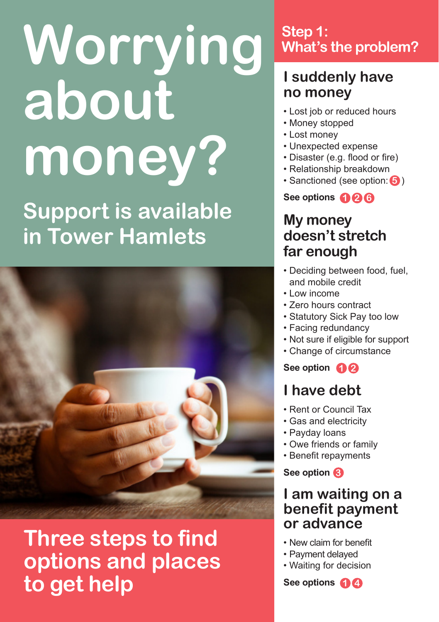# **Worrying about money? Support is available in Tower Hamlets**



## **Three steps to find options and places to get help**

## **Step 1: What's the problem?**

## **I suddenly have no money**

- Lost job or reduced hours
- Money stopped
- Lost money
- Unexpected expense
- Disaster (e.g. flood or fire)
- Relationship breakdown
- Sanctioned (see option: 5)

**See options 2 1 6**

## **My money doesn't stretch far enough**

- Deciding between food, fuel, and mobile credit
- Low income
- Zero hours contract
- Statutory Sick Pay too low
- Facing redundancy
- Not sure if eligible for support
- Change of circumstance

**See option 1 2**

## **I have debt**

- Rent or Council Tax
- Gas and electricity
- Payday loans
- Owe friends or family
- Benefit repayments

**See option 3**

## **I am waiting on a benefit payment or advance**

- New claim for benefit
- Payment delayed
- Waiting for decision

**See options 1 4**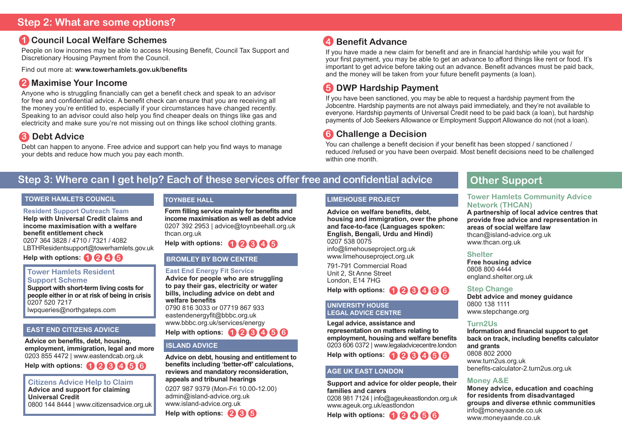## **1 Council Local Welfare Schemes**

People on low incomes may be able to access Housing Benefit, Council Tax Support and Discretionary Housing Payment from the Council.

Find out more at: **www.towerhamlets.gov.uk/benefits**

## **2 Maximise Your Income**

Anyone who is struggling financially can get a benefit check and speak to an advisor for free and confidential advice. A benefit check can ensure that you are receiving all the money you're entitled to, especially if your circumstances have changed recently. Speaking to an advisor could also help you find cheaper deals on things like gas and electricity and make sure you're not missing out on things like school clothing grants.

## **3 Debt Advice**

Debt can happen to anyone. Free advice and support can help you find ways to manage your debts and reduce how much you pay each month.

## **4 Benefit Advance**

If you have made a new claim for benefit and are in financial hardship while you wait for your first payment, you may be able to get an advance to afford things like rent or food. It's important to get advice before taking out an advance. Benefit advances must be paid back, and the money will be taken from your future benefit payments (a loan).

## **5 DWP Hardship Payment**

If you have been sanctioned, you may be able to request a hardship payment from the Jobcentre. Hardship payments are not always paid immediately, and they're not available to everyone. Hardship payments of Universal Credit need to be paid back (a loan), but hardship payments of Job Seekers Allowance or Employment Support Allowance do not (not a loan).

## **6 Challenge a Decision**

You can challenge a benefit decision if your benefit has been stopped / sanctioned / reduced /refused or you have been overpaid. Most benefit decisions need to be challenged within one month

## **Step 3: Where can I get help? Each of these services offer free and confidential advice**

#### **TOWER HAMLETS COUNCIL**

**Resident Support Outreach Team Help with Universal Credit claims and income maximisation with a welfare benefit entitlement check** 0207 364 3828 / 4710 / 7321 / 4082 LBTHResidentsupport@towerhamlets.gov.uk

**Help with options: 1 2 4 5**

#### **Tower Hamlets Resident Support Scheme**

**Support with short-term living costs for people either in or at risk of being in crisis** 0207 520 7217 lwpqueries@northgateps.com

#### **EAST END CITIZENS ADVICE**

**Advice on benefits, debt, housing, employment, immigration, legal and more** 0203 855 4472 | www.eastendcab.org.uk

**Help with options: 1 2 3 4 5 6**

**Citizens Advice Help to Claim Advice and support for claiming Universal Credit** 0800 144 8444 | www.citizensadvice.org.uk

#### **TOYNBEE HALL**

**Form filling service mainly for benefits and income maximisation as well as debt advice** 0207 392 2953 | advice@toynbeehall.org.uk thcan.org.uk

**Help with options: 1 2 3 4 5**

## **BROMLEY BY BOW CENTRE**

#### **East End Energy Fit Service**

**Advice for people who are struggling to pay their gas, electricity or water bills, including advice on debt and welfare benefits** 0790 816 3033 or 07719 867 933 eastendenergyfit@bbbc.org.uk www.bbbc.org.uk/services/energy **Help with options: 1 2 3 4 5 6**

#### **ISLAND ADVICE**

**Advice on debt, housing and entitlement to benefits including 'better-off' calculations, reviews and mandatory reconsideration, appeals and tribunal hearings** 0207 987 9379 (Mon-Fri 10.00-12.00) admin@island-advice.org.uk www.island-advice.org.uk **Help with options: 2 3 5**

#### **LIMEHOUSE PROJECT**

**Advice on welfare benefits, debt, housing and immigration, over the phone and face-to-face (Languages spoken: English, Bengali, Urdu and Hindi)** 0207 538 0075 info@limehouseproject.org.uk

www.limehouseproject.org.uk

791-791 Commercial Road Unit 2, St Anne Street London, E14 7HG

**1 2 3 4 5 6 Help with options:**

#### **UNIVERSITY HOUSE LEGAL ADVICE CENTRE**

**Legal advice, assistance and representation on matters relating to employment, housing and welfare benefits** 0203 606 0372 | www.legaladvicecentre.london **Help with options: 1 2 3 4 5 6**

#### **AGE UK EAST LONDON**

**Support and advice for older people, their families and carers**

0208 981 7124 | info@ageukeastlondon.org.uk www.ageuk.org.uk/eastlondon

**Help with options: 1 2 4 5 6**

## **Other Support**

#### **Tower Hamlets Community Advice Network (THCAN)**

**A partnership of local advice centres that provide free advice and representation in areas of social welfare law** thcan@island-advice.org.uk www.thcan.org.uk

#### **Shelter**

**Free housing advice**  0808 800 4444 england.shelter.org.uk

#### **Step Change**

**Debt advice and money guidance** 0800 138 1111 www.stepchange.org

#### **Turn2Us**

**Information and financial support to get back on track, including benefits calculator and grants** 0808 802 2000 www.turn2us.org.uk benefits-calculator-2.turn2us.org.uk

#### **Money A&E**

**Money advice, education and coaching for residents from disadvantaged groups and diverse ethnic communities** info@moneyaande.co.uk www.moneyaande.co.uk